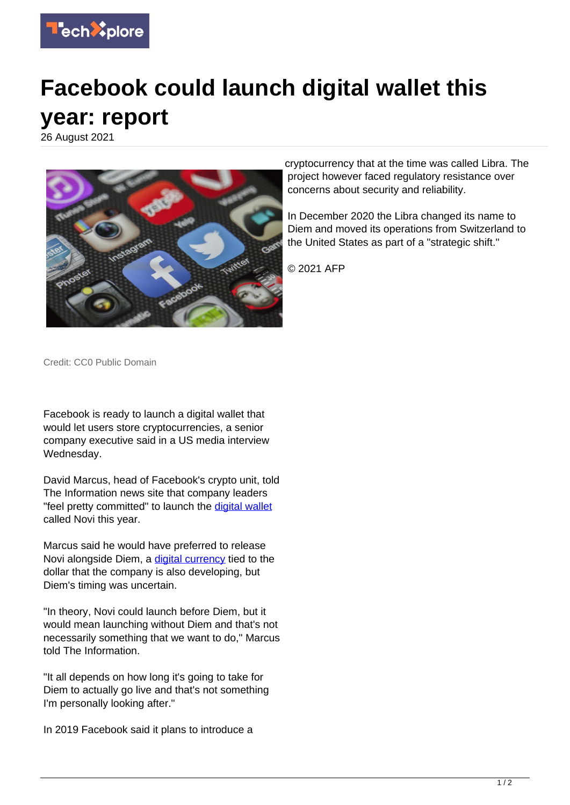

## **Facebook could launch digital wallet this year: report**

26 August 2021



cryptocurrency that at the time was called Libra. The project however faced regulatory resistance over concerns about security and reliability.

In December 2020 the Libra changed its name to Diem and moved its operations from Switzerland to the United States as part of a "strategic shift."

© 2021 AFP

Credit: CC0 Public Domain

Facebook is ready to launch a digital wallet that would let users store cryptocurrencies, a senior company executive said in a US media interview Wednesday.

David Marcus, head of Facebook's crypto unit, told The Information news site that company leaders "feel pretty committed" to launch the [digital wallet](https://techxplore.com/tags/digital+wallet/) called Novi this year.

Marcus said he would have preferred to release Novi alongside Diem, a [digital currency](https://techxplore.com/tags/digital+currency/) tied to the dollar that the company is also developing, but Diem's timing was uncertain.

"In theory, Novi could launch before Diem, but it would mean launching without Diem and that's not necessarily something that we want to do," Marcus told The Information.

"It all depends on how long it's going to take for Diem to actually go live and that's not something I'm personally looking after."

In 2019 Facebook said it plans to introduce a